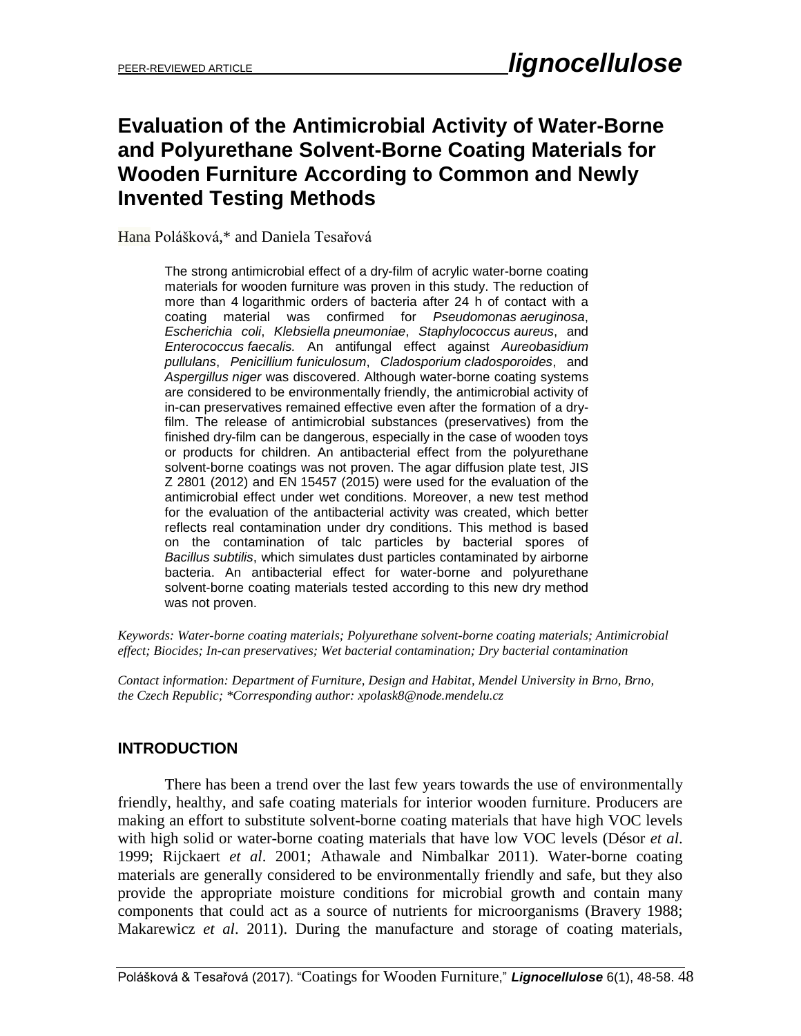# **Evaluation of the Antimicrobial Activity of Water-Borne and Polyurethane Solvent-Borne Coating Materials for Wooden Furniture According to Common and Newly Invented Testing Methods**

Hana Polášková,\* and [Daniela](https://www.google.com/url?sa=t&rct=j&q=&esrc=s&source=web&cd=1&cad=rja&uact=8&ved=0ahUKEwin3rrN_fjRAhVILhoKHTHfDMwQFggZMAA&url=https%3A%2F%2Fwww.researchgate.net%2Fprofile%2FDaniela_Tesarova&usg=AFQjCNF3Ir1LQXDv9oZ41Fq-L0MvX55gqQ&bvm=bv.146094739,d.d24) Tesařová

The strong antimicrobial effect of a dry-film of acrylic water-borne coating materials for wooden furniture was proven in this study. The reduction of more than 4 logarithmic orders of bacteria after 24 h of contact with a coating material was confirmed for *Pseudomonas aeruginosa*, *Escherichia coli*, *Klebsiella pneumoniae*, *Staphylococcus aureus*, and *Enterococcus faecalis.* An antifungal effect against *Aureobasidium pullulans*, *Penicillium funiculosum*, *Cladosporium cladosporoides*, and *Aspergillus niger* was discovered. Although water-borne coating systems are considered to be environmentally friendly, the antimicrobial activity of in-can preservatives remained effective even after the formation of a dryfilm. The release of antimicrobial substances (preservatives) from the finished dry-film can be dangerous, especially in the case of wooden toys or products for children. An antibacterial effect from the polyurethane solvent-borne coatings was not proven. The agar diffusion plate test, JIS Z 2801 (2012) and EN 15457 (2015) were used for the evaluation of the antimicrobial effect under wet conditions. Moreover, a new test method for the evaluation of the antibacterial activity was created, which better reflects real contamination under dry conditions. This method is based on the contamination of talc particles by bacterial spores of *Bacillus subtilis*, which simulates dust particles contaminated by airborne bacteria. An antibacterial effect for water-borne and polyurethane solvent-borne coating materials tested according to this new dry method was not proven.

*Keywords: Water-borne coating materials; Polyurethane solvent-borne coating materials; Antimicrobial effect; Biocides; In-can preservatives; Wet bacterial contamination; Dry bacterial contamination*

*Contact information: [Department of Furniture, Design and Habitat,](http://is.mendelu.cz/pracoviste/pracoviste.pl?nerozbaluj=1;id=51) Mendel University in Brno, Brno, the Czech Republic; \*Corresponding author[: xpolask8@node.mendelu.cz](mailto:xpolask8@node.mendelu.cz)*

# **INTRODUCTION**

There has been a trend over the last few years towards the use of environmentally friendly, healthy, and safe coating materials for interior wooden furniture. Producers are making an effort to substitute solvent-borne coating materials that have high VOC levels with high solid or water-borne coating materials that have low VOC levels (Désor *et al*. 1999; Rijckaert *et al*. 2001; Athawale and Nimbalkar 2011). Water-borne coating materials are generally considered to be environmentally friendly and safe, but they also provide the appropriate moisture conditions for microbial growth and contain many components that could act as a source of nutrients for microorganisms (Bravery 1988; Makarewicz *et al*. 2011). During the manufacture and storage of coating materials,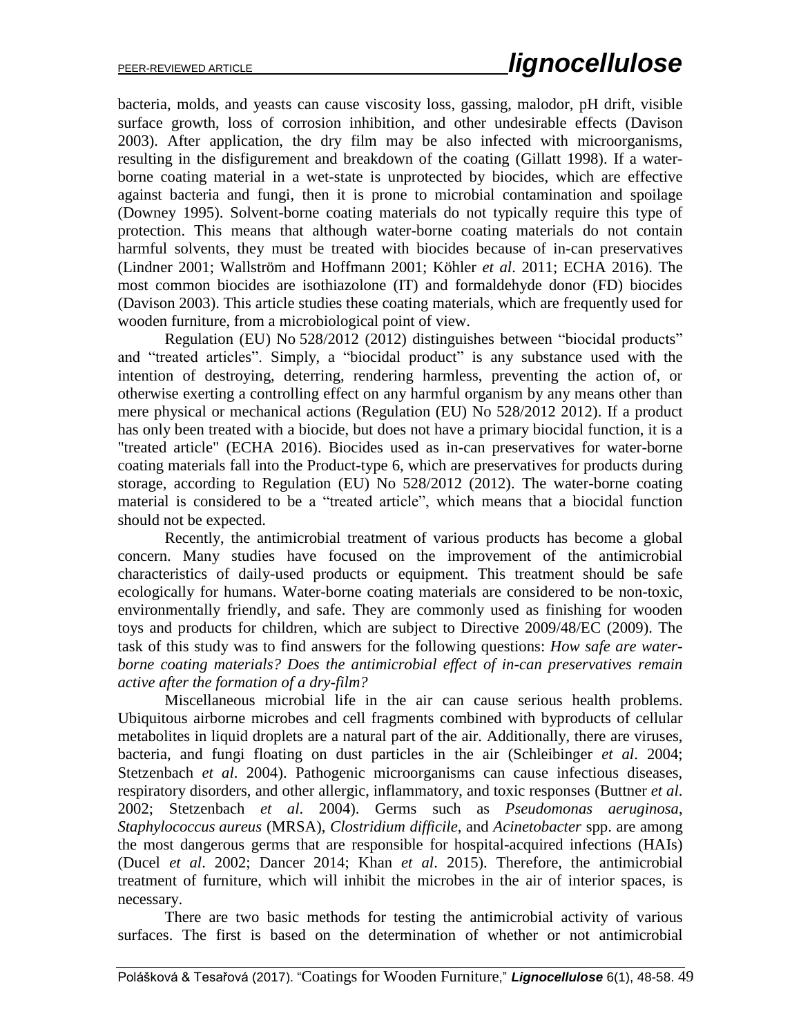bacteria, molds, and yeasts can cause viscosity loss, gassing, malodor, pH drift, visible surface growth, loss of corrosion inhibition, and other undesirable effects (Davison 2003). After application, the dry film may be also infected with microorganisms, resulting in the disfigurement and breakdown of the coating (Gillatt 1998). If a waterborne coating material in a wet-state is unprotected by biocides, which are effective against bacteria and fungi, then it is prone to microbial contamination and spoilage (Downey 1995). Solvent-borne coating materials do not typically require this type of protection. This means that although water-borne coating materials do not contain harmful solvents, they must be treated with biocides because of in-can preservatives (Lindner 2001; Wallström and Hoffmann 2001; Köhler *et al*. 2011; ECHA 2016). The most common biocides are isothiazolone (IT) and formaldehyde donor (FD) biocides (Davison 2003). This article studies these coating materials, which are frequently used for wooden furniture, from a microbiological point of view.

Regulation (EU) No 528/2012 (2012) distinguishes between "biocidal products" and "treated articles". Simply, a "biocidal product" is any substance used with the intention of destroying, deterring, rendering harmless, preventing the action of, or otherwise exerting a controlling effect on any harmful organism by any means other than mere physical or mechanical actions (Regulation (EU) No 528/2012 2012). If a product has only been treated with a biocide, but does not have a primary biocidal function, it is a "treated article" (ECHA 2016). Biocides used as in-can preservatives for water-borne coating materials fall into the Product-type 6, which are preservatives for products during storage, according to Regulation (EU) No 528/2012 (2012). The water-borne coating material is considered to be a "treated article", which means that a biocidal function should not be expected.

Recently, the antimicrobial treatment of various products has become a global concern. Many studies have focused on the improvement of the antimicrobial characteristics of daily-used products or equipment. This treatment should be safe ecologically for humans. Water-borne coating materials are considered to be non-toxic, environmentally friendly, and safe. They are commonly used as finishing for wooden toys and products for children, which are subject to Directive 2009/48/EC (2009). The task of this study was to find answers for the following questions: *How safe are waterborne coating materials? Does the antimicrobial effect of in-can preservatives remain active after the formation of a dry-film?*

Miscellaneous microbial life in the air can cause serious health problems. Ubiquitous airborne microbes and cell fragments combined with byproducts of cellular metabolites in liquid droplets are a natural part of the air. Additionally, there are viruses, bacteria, and fungi floating on dust particles in the air (Schleibinger *et al*. 2004; Stetzenbach *et al*. 2004). Pathogenic microorganisms can cause infectious diseases, respiratory disorders, and other allergic, inflammatory, and toxic responses (Buttner *et al*. 2002; Stetzenbach *et al*. 2004). Germs such as *Pseudomonas aeruginosa*, *Staphylococcus aureus* (MRSA), *Clostridium difficile*, and *Acinetobacter* spp. are among the most dangerous germs that are responsible for hospital-acquired infections (HAIs) (Ducel *et al*. 2002; Dancer 2014; Khan *et al*. 2015). Therefore, the antimicrobial treatment of furniture, which will inhibit the microbes in the air of interior spaces, is necessary.

There are two basic methods for testing the antimicrobial activity of various surfaces. The first is based on the determination of whether or not antimicrobial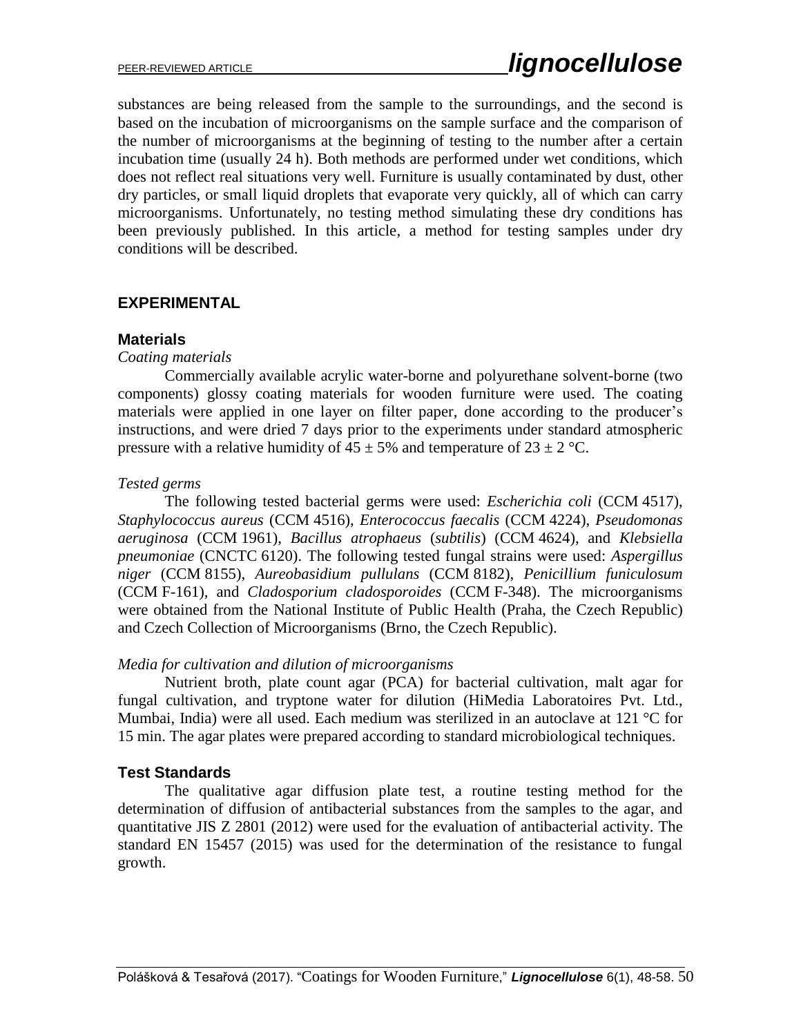substances are being released from the sample to the surroundings, and the second is based on the incubation of microorganisms on the sample surface and the comparison of the number of microorganisms at the beginning of testing to the number after a certain incubation time (usually 24 h). Both methods are performed under wet conditions, which does not reflect real situations very well. Furniture is usually contaminated by dust, other dry particles, or small liquid droplets that evaporate very quickly, all of which can carry microorganisms. Unfortunately, no testing method simulating these dry conditions has been previously published. In this article, a method for testing samples under dry conditions will be described.

### **EXPERIMENTAL**

### **Materials**

#### *Coating materials*

Commercially available acrylic water-borne and polyurethane solvent-borne (two components) glossy coating materials for wooden furniture were used. The coating materials were applied in one layer on filter paper, done according to the producer's instructions, and were dried 7 days prior to the experiments under standard atmospheric pressure with a relative humidity of  $45 \pm 5\%$  and temperature of  $23 \pm 2\degree$ C.

#### *Tested germs*

The following tested bacterial germs were used: *Escherichia coli* (CCM 4517), *Staphylococcus aureus* (CCM 4516), *Enterococcus faecalis* (CCM 4224), *Pseudomonas aeruginosa* (CCM 1961), *Bacillus atrophaeus* (*subtilis*) (CCM 4624), and *Klebsiella pneumoniae* (CNCTC 6120). The following tested fungal strains were used: *Aspergillus niger* (CCM 8155), *Aureobasidium pullulans* (CCM 8182), *Penicillium funiculosum* (CCM F-161), and *Cladosporium cladosporoides* (CCM F-348). The microorganisms were obtained from the National Institute of Public Health (Praha, the Czech Republic) and Czech Collection of Microorganisms (Brno, the Czech Republic).

### *Media for cultivation and dilution of microorganisms*

Nutrient broth, plate count agar (PCA) for bacterial cultivation, malt agar for fungal cultivation, and tryptone water for dilution (HiMedia Laboratoires Pvt. Ltd., Mumbai, India) were all used. Each medium was sterilized in an autoclave at 121 °C for 15 min. The agar plates were prepared according to standard microbiological techniques.

### **Test Standards**

The qualitative agar diffusion plate test, a routine testing method for the determination of diffusion of antibacterial substances from the samples to the agar, and quantitative JIS Z 2801 (2012) were used for the evaluation of antibacterial activity. The standard EN 15457 (2015) was used for the determination of the resistance to fungal growth.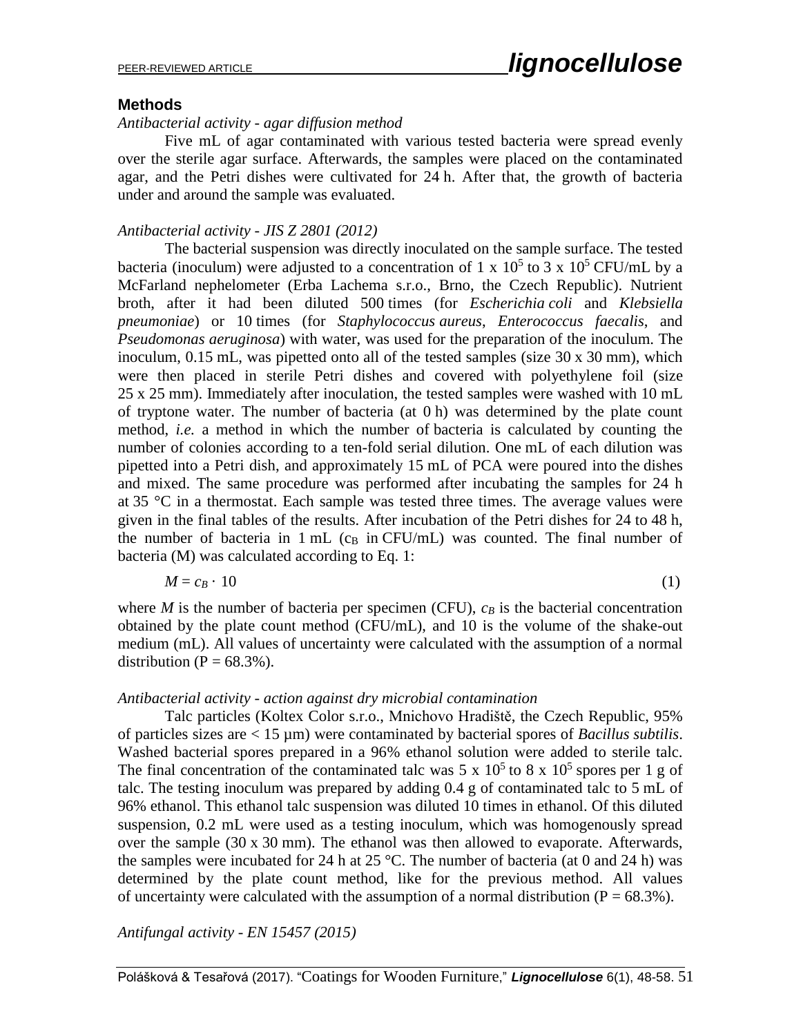## **Methods**

### *Antibacterial activity - agar diffusion method*

Five mL of agar contaminated with various tested bacteria were spread evenly over the sterile agar surface. Afterwards, the samples were placed on the contaminated agar, and the Petri dishes were cultivated for 24 h. After that, the growth of bacteria under and around the sample was evaluated.

## *Antibacterial activity - JIS Z 2801 (2012)*

The bacterial suspension was directly inoculated on the sample surface. The tested bacteria (inoculum) were adjusted to a concentration of 1 x  $10^5$  to 3 x  $10^5$  CFU/mL by a McFarland nephelometer (Erba Lachema s.r.o., Brno, the Czech Republic). Nutrient broth, after it had been diluted 500 times (for *Escherichia coli* and *Klebsiella pneumoniae*) or 10 times (for *Staphylococcus aureus*, *Enterococcus faecalis*, and *Pseudomonas aeruginosa*) with water, was used for the preparation of the inoculum. The inoculum, 0.15 mL, was pipetted onto all of the tested samples (size 30 x 30 mm), which were then placed in sterile Petri dishes and covered with polyethylene foil (size 25 x 25 mm). Immediately after inoculation, the tested samples were washed with 10 mL of tryptone water. The number of bacteria (at 0 h) was determined by the plate count method, *i.e.* a method in which the number of bacteria is calculated by counting the number of colonies according to a ten-fold serial dilution. One mL of each dilution was pipetted into a Petri dish, and approximately 15 mL of PCA were poured into the dishes and mixed. The same procedure was performed after incubating the samples for 24 h at 35 °C in a thermostat. Each sample was tested three times. The average values were given in the final tables of the results. After incubation of the Petri dishes for 24 to 48 h, the number of bacteria in  $1 \text{ mL}$  ( $c_B$  in CFU/mL) was counted. The final number of bacteria (M) was calculated according to Eq. 1:

$$
M = c_B \cdot 10 \tag{1}
$$

where *M* is the number of bacteria per specimen (CFU),  $c_B$  is the bacterial concentration obtained by the plate count method (CFU/mL), and 10 is the volume of the shake-out medium (mL). All values of uncertainty were calculated with the assumption of a normal distribution ( $P = 68.3\%$ ).

### *Antibacterial activity - action against dry microbial contamination*

Talc particles (Koltex Color s.r.o., Mnichovo Hradiště, the Czech Republic, 95% of particles sizes are < 15 µm) were contaminated by bacterial spores of *Bacillus subtilis*. Washed bacterial spores prepared in a 96% ethanol solution were added to sterile talc. The final concentration of the contaminated talc was  $5 \times 10^5$  to  $8 \times 10^5$  spores per 1 g of talc. The testing inoculum was prepared by adding 0.4 g of contaminated talc to 5 mL of 96% ethanol. This ethanol talc suspension was diluted 10 times in ethanol. Of this diluted suspension, 0.2 mL were used as a testing inoculum, which was homogenously spread over the sample (30 x 30 mm). The ethanol was then allowed to evaporate. Afterwards, the samples were incubated for 24 h at 25  $^{\circ}$ C. The number of bacteria (at 0 and 24 h) was determined by the plate count method, like for the previous method. All values of uncertainty were calculated with the assumption of a normal distribution ( $P = 68.3\%$ ).

*Antifungal activity - EN 15457 (2015)*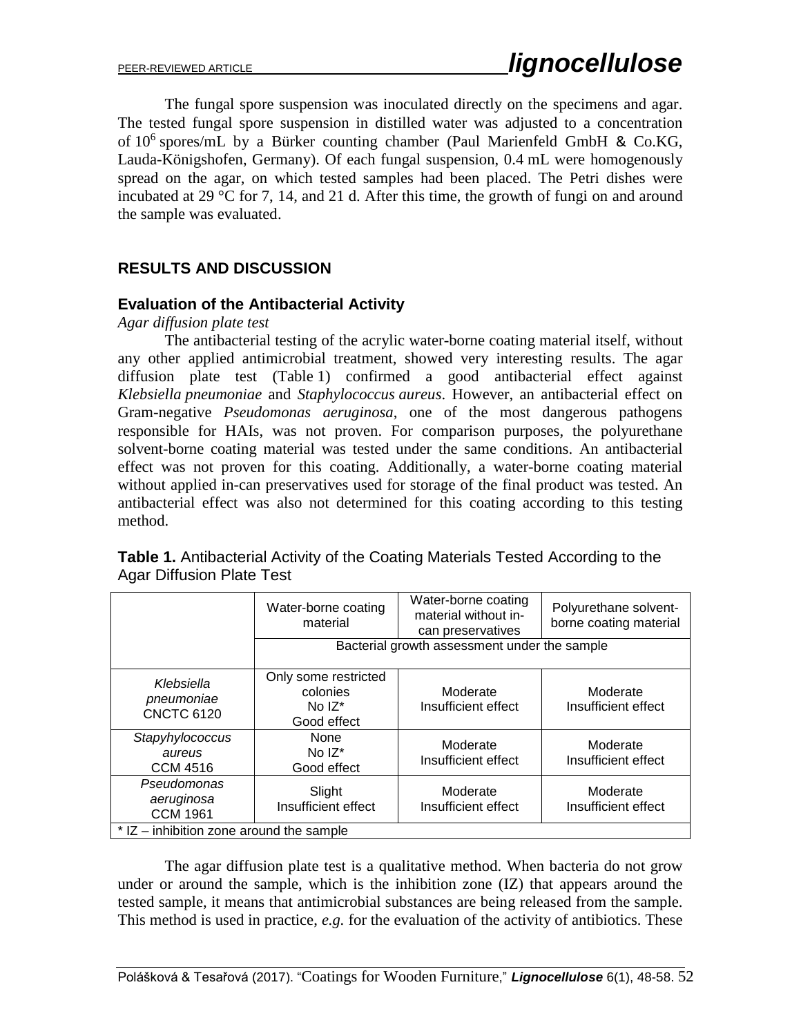The fungal spore suspension was inoculated directly on the specimens and agar. The tested fungal spore suspension in distilled water was adjusted to a concentration of 10<sup>6</sup> spores/mL by a Bürker counting chamber (Paul Marienfeld GmbH & Co.KG, Lauda-Königshofen, Germany). Of each fungal suspension, 0.4 mL were homogenously spread on the agar, on which tested samples had been placed. The Petri dishes were incubated at 29 °C for 7, 14, and 21 d. After this time, the growth of fungi on and around the sample was evaluated.

# **RESULTS AND DISCUSSION**

# **Evaluation of the Antibacterial Activity**

# *Agar diffusion plate test*

The antibacterial testing of the acrylic water-borne coating material itself, without any other applied antimicrobial treatment, showed very interesting results. The agar diffusion plate test (Table 1) confirmed a good antibacterial effect against *Klebsiella pneumoniae* and *Staphylococcus aureus*. However, an antibacterial effect on Gram-negative *Pseudomonas aeruginosa*, one of the most dangerous pathogens responsible for HAIs, was not proven. For comparison purposes, the polyurethane solvent-borne coating material was tested under the same conditions. An antibacterial effect was not proven for this coating. Additionally, a water-borne coating material without applied in-can preservatives used for storage of the final product was tested. An antibacterial effect was also not determined for this coating according to this testing method.

|                                               | Water-borne coating<br>material                              | Water-borne coating<br>material without in-<br>can preservatives | Polyurethane solvent-<br>borne coating material |
|-----------------------------------------------|--------------------------------------------------------------|------------------------------------------------------------------|-------------------------------------------------|
|                                               |                                                              | Bacterial growth assessment under the sample                     |                                                 |
| Klebsiella<br>pneumoniae<br><b>CNCTC 6120</b> | Only some restricted<br>colonies<br>No $IZ^*$<br>Good effect | Moderate<br>Insufficient effect                                  | Moderate<br>Insufficient effect                 |
| Stapyhylococcus<br>aureus<br><b>CCM 4516</b>  | None<br>No $IZ^*$<br>Good effect                             | Moderate<br>Insufficient effect                                  | Moderate<br>Insufficient effect                 |
| Pseudomonas<br>aeruginosa<br><b>CCM 1961</b>  | Slight<br>Insufficient effect                                | Moderate<br>Insufficient effect                                  | Moderate<br>Insufficient effect                 |
| $*$ IZ – inhibition zone around the sample    |                                                              |                                                                  |                                                 |

| <b>Table 1.</b> Antibacterial Activity of the Coating Materials Tested According to the |  |
|-----------------------------------------------------------------------------------------|--|
| <b>Agar Diffusion Plate Test</b>                                                        |  |

The agar diffusion plate test is a qualitative method. When bacteria do not grow under or around the sample, which is the inhibition zone (IZ) that appears around the tested sample, it means that antimicrobial substances are being released from the sample. This method is used in practice, *e.g.* for the evaluation of the activity of antibiotics. These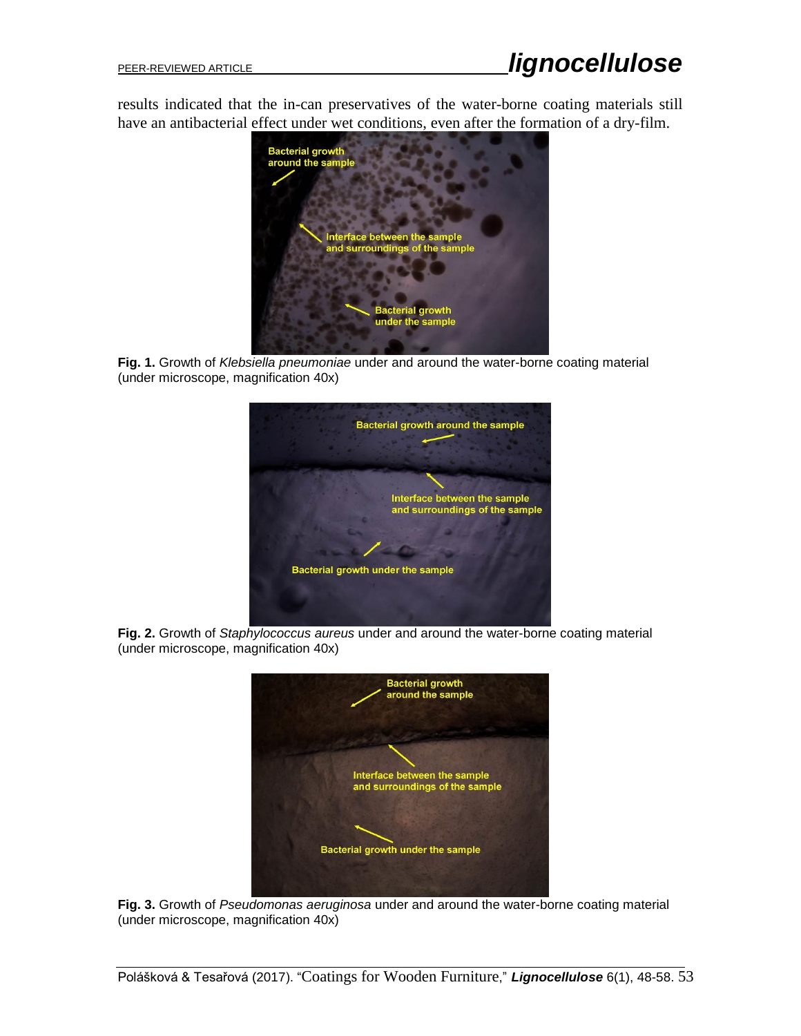results indicated that the in-can preservatives of the water-borne coating materials still have an antibacterial effect under wet conditions, even after the formation of a dry-film.



**Fig. 1.** Growth of *Klebsiella pneumoniae* under and around the water-borne coating material (under microscope, magnification 40x)



**Fig. 2.** Growth of *Staphylococcus aureus* under and around the water-borne coating material (under microscope, magnification 40x)



**Fig. 3.** Growth of *Pseudomonas aeruginosa* under and around the water-borne coating material (under microscope, magnification 40x)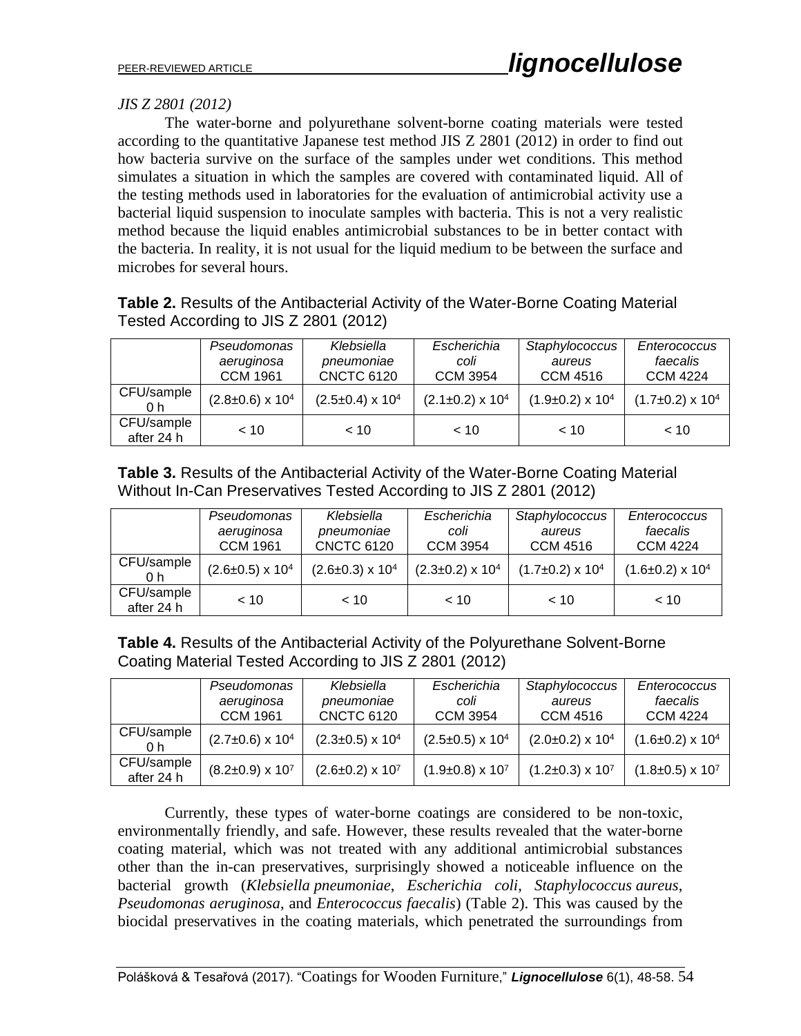# *JIS Z 2801 (2012)*

The water-borne and polyurethane solvent-borne coating materials were tested according to the quantitative Japanese test method JIS Z 2801 (2012) in order to find out how bacteria survive on the surface of the samples under wet conditions. This method simulates a situation in which the samples are covered with contaminated liquid. All of the testing methods used in laboratories for the evaluation of antimicrobial activity use a bacterial liquid suspension to inoculate samples with bacteria. This is not a very realistic method because the liquid enables antimicrobial substances to be in better contact with the bacteria. In reality, it is not usual for the liquid medium to be between the surface and microbes for several hours.

## **Table 2.** Results of the Antibacterial Activity of the Water-Borne Coating Material Tested According to JIS Z 2801 (2012)

|                          | Pseudomonas<br>aeruginosa<br><b>CCM 1961</b> | Klebsiella<br>pneumoniae<br><b>CNCTC 6120</b> | Escherichia<br>coli<br><b>CCM 3954</b> | Staphylococcus<br>aureus<br><b>CCM 4516</b> | Enterococcus<br>faecalis<br><b>CCM 4224</b> |
|--------------------------|----------------------------------------------|-----------------------------------------------|----------------------------------------|---------------------------------------------|---------------------------------------------|
| CFU/sample<br>0 h        | $(2.8 \pm 0.6) \times 10^4$                  | $(2.5\pm0.4) \times 10^4$                     | $(2.1 \pm 0.2) \times 10^4$            | $(1.9\pm0.2)$ x 10 <sup>4</sup>             | $(1.7\pm0.2) \times 10^4$                   |
| CFU/sample<br>after 24 h | ~10                                          | $~<$ 10                                       | ~10                                    | ~< 10                                       | ~10                                         |

**Table 3.** Results of the Antibacterial Activity of the Water-Borne Coating Material Without In-Can Preservatives Tested According to JIS Z 2801 (2012)

|                          | Pseudomonas<br>aeruginosa<br><b>CCM 1961</b> | Klebsiella<br>pneumoniae<br><b>CNCTC 6120</b> | Escherichia<br>coli<br><b>CCM 3954</b> | Staphylococcus<br>aureus<br><b>CCM 4516</b> | Enterococcus<br>faecalis<br><b>CCM 4224</b> |
|--------------------------|----------------------------------------------|-----------------------------------------------|----------------------------------------|---------------------------------------------|---------------------------------------------|
| CFU/sample<br>0 h        | $(2.6 \pm 0.5) \times 10^4$                  | $(2.6 \pm 0.3) \times 10^4$                   | $(2.3 \pm 0.2) \times 10^4$            | $(1.7\pm0.2) \times 10^4$                   | $(1.6 \pm 0.2) \times 10^4$                 |
| CFU/sample<br>after 24 h | ~10                                          | $~<$ 10                                       | ~10                                    | ~10                                         | $~<$ 10                                     |

**Table 4.** Results of the Antibacterial Activity of the Polyurethane Solvent-Borne Coating Material Tested According to JIS Z 2801 (2012)

|                          | Pseudomonas                 | Klebsiella                  | Escherichia                 | Staphylococcus              | Enterococcus                |
|--------------------------|-----------------------------|-----------------------------|-----------------------------|-----------------------------|-----------------------------|
|                          | aeruginosa                  | pneumoniae                  | coli                        | aureus                      | faecalis                    |
|                          | <b>CCM 1961</b>             | <b>CNCTC 6120</b>           | CCM 3954                    | <b>CCM 4516</b>             | <b>CCM 4224</b>             |
| CFU/sample<br>0 h        | $(2.7 \pm 0.6) \times 10^4$ | $(2.3 \pm 0.5) \times 10^4$ | $(2.5 \pm 0.5) \times 10^4$ | $(2.0 \pm 0.2) \times 10^4$ | $(1.6 \pm 0.2) \times 10^4$ |
| CFU/sample<br>after 24 h | $(8.2 \pm 0.9) \times 10^7$ | $(2.6 \pm 0.2) \times 10^7$ | $(1.9 \pm 0.8) \times 10^7$ | $(1.2 \pm 0.3) \times 10^7$ | $(1.8 \pm 0.5) \times 10^7$ |

Currently, these types of water-borne coatings are considered to be non-toxic, environmentally friendly, and safe. However, these results revealed that the water-borne coating material, which was not treated with any additional antimicrobial substances other than the in-can preservatives, surprisingly showed a noticeable influence on the bacterial growth (*Klebsiella pneumoniae*, *Escherichia coli*, *Staphylococcus aureus*, *Pseudomonas aeruginosa*, and *Enterococcus faecalis*) (Table 2). This was caused by the biocidal preservatives in the coating materials, which penetrated the surroundings from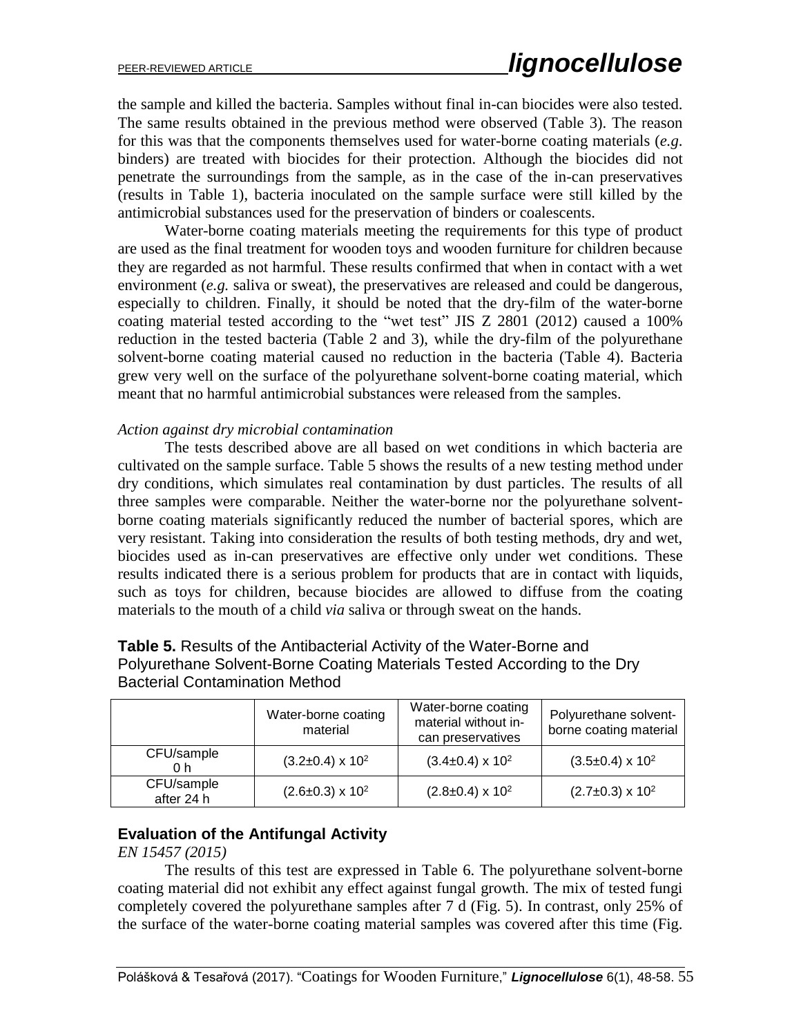the sample and killed the bacteria. Samples without final in-can biocides were also tested. The same results obtained in the previous method were observed (Table 3). The reason for this was that the components themselves used for water-borne coating materials (*e.g*. binders) are treated with biocides for their protection. Although the biocides did not penetrate the surroundings from the sample, as in the case of the in-can preservatives (results in Table 1), bacteria inoculated on the sample surface were still killed by the antimicrobial substances used for the preservation of binders or coalescents.

Water-borne coating materials meeting the requirements for this type of product are used as the final treatment for wooden toys and wooden furniture for children because they are regarded as not harmful. These results confirmed that when in contact with a wet environment (*e.g.* saliva or sweat), the preservatives are released and could be dangerous, especially to children. Finally, it should be noted that the dry-film of the water-borne coating material tested according to the "wet test" JIS Z 2801 (2012) caused a 100% reduction in the tested bacteria (Table 2 and 3), while the dry-film of the polyurethane solvent-borne coating material caused no reduction in the bacteria (Table 4). Bacteria grew very well on the surface of the polyurethane solvent-borne coating material, which meant that no harmful antimicrobial substances were released from the samples.

#### *Action against dry microbial contamination*

The tests described above are all based on wet conditions in which bacteria are cultivated on the sample surface. Table 5 shows the results of a new testing method under dry conditions, which simulates real contamination by dust particles. The results of all three samples were comparable. Neither the water-borne nor the polyurethane solventborne coating materials significantly reduced the number of bacterial spores, which are very resistant. Taking into consideration the results of both testing methods, dry and wet, biocides used as in-can preservatives are effective only under wet conditions. These results indicated there is a serious problem for products that are in contact with liquids, such as toys for children, because biocides are allowed to diffuse from the coating materials to the mouth of a child *via* saliva or through sweat on the hands.

|                          | Water-borne coating<br>material | Water-borne coating<br>material without in-<br>can preservatives | Polyurethane solvent-<br>borne coating material |
|--------------------------|---------------------------------|------------------------------------------------------------------|-------------------------------------------------|
| CFU/sample<br>0 h        | $(3.2\pm0.4) \times 10^2$       | $(3.4\pm0.4) \times 10^2$                                        | $(3.5\pm0.4) \times 10^2$                       |
| CFU/sample<br>after 24 h | $(2.6 \pm 0.3) \times 10^2$     | $(2.8 \pm 0.4) \times 10^2$                                      | $(2.7\pm0.3) \times 10^2$                       |

## **Table 5.** Results of the Antibacterial Activity of the Water-Borne and Polyurethane Solvent-Borne Coating Materials Tested According to the Dry Bacterial Contamination Method

### **Evaluation of the Antifungal Activity**

*EN 15457 (2015)*

The results of this test are expressed in Table 6. The polyurethane solvent-borne coating material did not exhibit any effect against fungal growth. The mix of tested fungi completely covered the polyurethane samples after 7 d (Fig. 5). In contrast, only 25% of the surface of the water-borne coating material samples was covered after this time (Fig.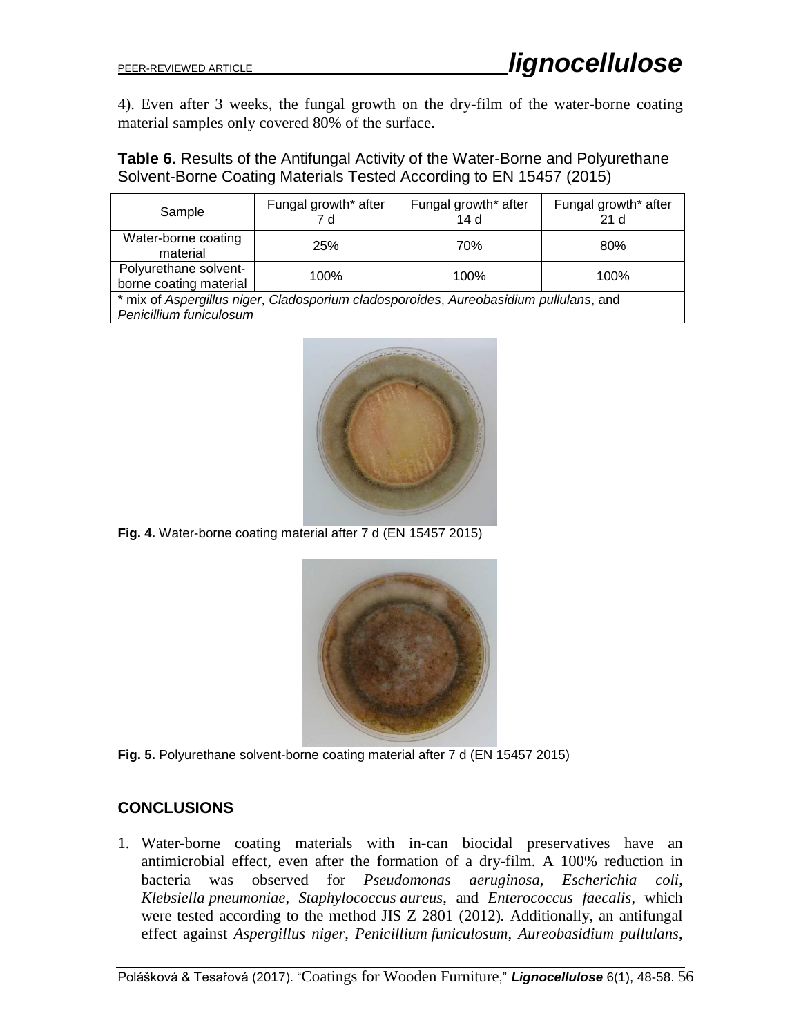4). Even after 3 weeks, the fungal growth on the dry-film of the water-borne coating material samples only covered 80% of the surface.

**Table 6.** Results of the Antifungal Activity of the Water-Borne and Polyurethane Solvent-Borne Coating Materials Tested According to EN 15457 (2015)

| Sample                                                                                | Fungal growth* after<br>7 d | Fungal growth* after<br>14 d | Fungal growth* after<br>21d |  |
|---------------------------------------------------------------------------------------|-----------------------------|------------------------------|-----------------------------|--|
| Water-borne coating<br>material                                                       | 25%                         | 70%                          | 80%                         |  |
| Polyurethane solvent-<br>100%<br>100%<br>100%<br>borne coating material               |                             |                              |                             |  |
| * mix of Aspergillus niger, Cladosporium cladosporoides, Aureobasidium pullulans, and |                             |                              |                             |  |

\* mix of *Aspergillus niger*, *Cladosporium cladosporoides*, *Aureobasidium pullulans*, and *Penicillium funiculosum*



**Fig. 4.** Water-borne coating material after 7 d (EN 15457 2015)



**Fig. 5.** Polyurethane solvent-borne coating material after 7 d (EN 15457 2015)

# **CONCLUSIONS**

1. Water-borne coating materials with in-can biocidal preservatives have an antimicrobial effect, even after the formation of a dry-film. A 100% reduction in bacteria was observed for *Pseudomonas aeruginosa*, *Escherichia coli*, *Klebsiella pneumoniae*, *Staphylococcus aureus*, and *Enterococcus faecalis*, which were tested according to the method JIS Z 2801 (2012)*.* Additionally, an antifungal effect against *Aspergillus niger*, *Penicillium funiculosum*, *Aureobasidium pullulans*,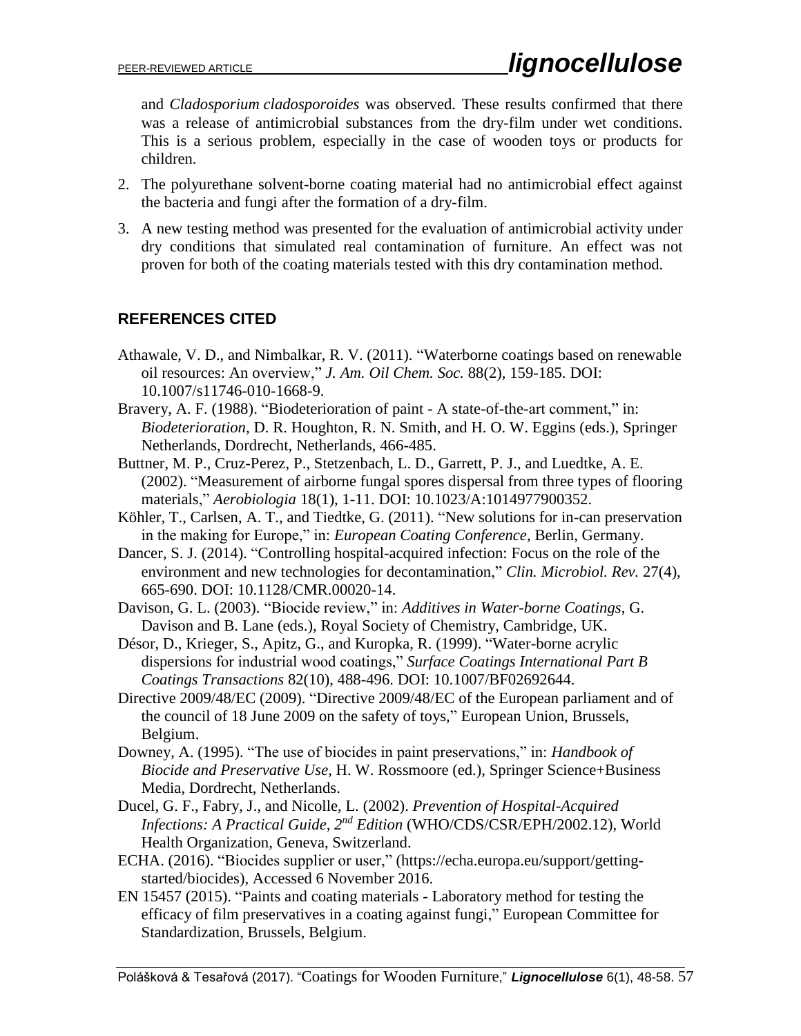and *Cladosporium cladosporoides* was observed. These results confirmed that there was a release of antimicrobial substances from the dry-film under wet conditions. This is a serious problem, especially in the case of wooden toys or products for children.

- 2. The polyurethane solvent-borne coating material had no antimicrobial effect against the bacteria and fungi after the formation of a dry-film.
- 3. A new testing method was presented for the evaluation of antimicrobial activity under dry conditions that simulated real contamination of furniture. An effect was not proven for both of the coating materials tested with this dry contamination method.

# **REFERENCES CITED**

- Athawale, V. D., and Nimbalkar, R. V. (2011). "Waterborne coatings based on renewable oil resources: An overview," *J. Am. [Oil Chem.](http://link.springer.com/journal/11746) Soc.* 88(2), 159-185. DOI: 10.1007/s11746-010-1668-9.
- Bravery, A. F. (1988). "Biodeterioration of paint A state-of-the-art comment," in: *Biodeterioration*, D. R. Houghton, R. N. Smith, and H. O. W. Eggins (eds.), Springer Netherlands, Dordrecht, Netherlands, 466-485.
- Buttner, M. P., Cruz-Perez, P., Stetzenbach, L. D., Garrett, P. J., and Luedtke, A. E. (2002). "Measurement of airborne fungal spores dispersal from three types of flooring materials," *Aerobiologia* 18(1), 1-11. DOI: 10.1023/A:1014977900352.
- Köhler, T., Carlsen, A. T., and Tiedtke, G. (2011). "New solutions for in-can preservation in the making for Europe," in: *European Coating Conference*, Berlin, Germany.
- Dancer, S. J. (2014). "Controlling hospital-acquired infection: Focus on the role of the environment and new technologies for decontamination," *Clin. Microbiol. Rev.* 27(4), 665-690. DOI: 10.1128/CMR.00020-14.
- Davison, G. L. (2003). "Biocide review," in: *Additives in Water-borne Coatings*, G. Davison and B. Lane (eds.), Royal Society of Chemistry, Cambridge, UK.
- Désor, D., Krieger, S., Apitz, G., and Kuropka, R. (1999). "Water-borne acrylic dispersions for industrial wood coatings," *Surface Coatings International Part B Coatings Transactions* 82(10), 488-496. DOI: 10.1007/BF02692644.
- Directive 2009/48/EC (2009). "Directive 2009/48/EC of the European parliament and of the council of 18 June 2009 on the safety of toys," European Union, Brussels, Belgium.
- Downey, A. (1995). "The use of biocides in paint preservations," in: *Handbook of Biocide and Preservative Use*, H. W. Rossmoore (ed.), Springer Science+Business Media, Dordrecht, Netherlands.
- Ducel, G. F., Fabry, J., and Nicolle, L. (2002). *Prevention of Hospital-Acquired Infections: A Practical Guide, 2 nd Edition* (WHO/CDS/CSR/EPH/2002.12), World Health Organization, Geneva, Switzerland.
- ECHA. (2016). "Biocides supplier or user," [\(https://echa.europa.eu/support/getting](https://echa.europa.eu/support/getting-started/biocides)[started/biocides\)](https://echa.europa.eu/support/getting-started/biocides), Accessed 6 November 2016.
- EN 15457 (2015). "Paints and coating materials Laboratory method for testing the efficacy of film preservatives in a coating against fungi," European Committee for Standardization, Brussels, Belgium.